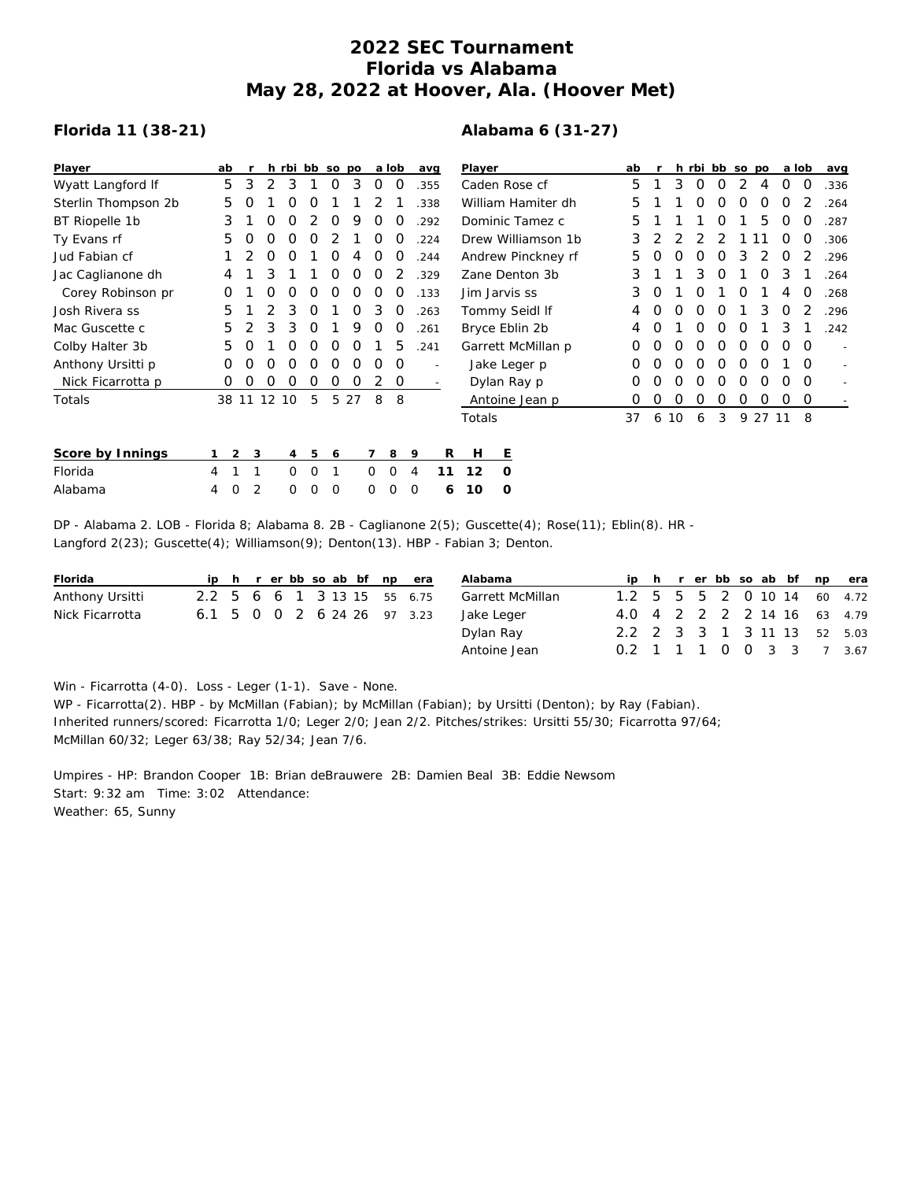## **2022 SEC Tournament Florida vs Alabama May 28, 2022 at Hoover, Ala. (Hoover Met)**

## **Florida 11 (38-21)**

## **Alabama 6 (31-27)**

| Player              | ab |                |                  |          |   | h rbi bb so po |      |          | a lob    |          | avg  | Player             |                    | ab |    |   |    | h rbi bb so po |   |   | a lob |    | avg      |      |
|---------------------|----|----------------|------------------|----------|---|----------------|------|----------|----------|----------|------|--------------------|--------------------|----|----|---|----|----------------|---|---|-------|----|----------|------|
| Wyatt Langford If   | 5  | 3              |                  | 3        |   | 0              | 3    | O        | O        |          | .355 | Caden Rose cf      |                    |    | 5  |   | 3  | O              | O |   | 4     | O  | 0        | .336 |
| Sterlin Thompson 2b | 5  | $\Omega$       |                  | O        | O |                |      |          |          |          | .338 |                    | William Hamiter dh |    | 5  |   |    | Ω              | Ω | Ο | Ο     | O  |          | .264 |
| BT Riopelle 1b      | 3  |                | $\left( \right)$ | Ω        | 2 | 0              | 9    | O        | O        |          | 292  |                    | Dominic Tamez c    |    | 5  |   |    |                | Ο |   | 5     | Ο  | O        | .287 |
| Ty Evans rf         | 5  |                | Ω                | O        | O |                |      | O        | O        |          | 224  | Drew Williamson 1b |                    |    | 3  |   |    |                |   |   |       | O  | O        | .306 |
| Jud Fabian cf       |    |                |                  |          |   | Ο              |      | O        | $\left($ |          | .244 | Andrew Pinckney rf |                    |    | 5  |   |    | Ο              | Ο | 3 |       | Ο  |          | .296 |
| Jac Caglianone dh   | 4  |                | 3                |          |   |                |      |          |          |          | .329 |                    | Zane Denton 3b     |    | 3  |   |    | 3              | O |   | 0     | 3  |          | .264 |
| Corey Robinson pr   | O  |                |                  |          | Ω |                | Ο    |          |          |          | .133 | Jim Jarvis ss      |                    |    | 3  | Ο |    | 0              |   | Ο |       | 4  | O        | .268 |
| Josh Rivera ss      | 5  |                |                  | 3        | O |                | Ο    | 3        | O        |          | .263 |                    | Tommy Seidl If     |    | 4  |   | 0  | Ο              | O |   | 3     | Ο  |          | .296 |
| Mac Guscette c      | 5. |                | 3                | 3        | O |                | 9    | O        | O        |          | .261 | Bryce Eblin 2b     |                    |    | 4  | Ο |    | O              | Ο | O |       | 3  |          | .242 |
| Colby Halter 3b     | 5  |                |                  | Ο        | O | O              | O    |          | 5        |          | .241 | Garrett McMillan p |                    |    | O  | Ο | Ο  | O              | 0 | 0 | O     | Ο  | $\Omega$ |      |
| Anthony Ursitti p   | 0  | O              | Ο                | 0        | O | O              | 0    | 0        | 0        |          |      | Jake Leger p       |                    |    | 0  | 0 | O  | 0              | 0 | 0 | 0     |    | $\Omega$ |      |
| Nick Ficarrotta p   | 0  | O              | O                | $\Omega$ | 0 | 0              | 0    | 2        | 0        |          |      | Dylan Ray p        |                    |    | 0  | Ο | Ο  | 0              | 0 | 0 | 0     | 0  | $\Omega$ |      |
| Totals              |    | 38 11          | 12               | 10       | 5 |                | 5 27 | 8        | 8        |          |      |                    | Antoine Jean p     |    | 0  | Ο | O  | O              | O | 0 | O     | Ο  | 0        |      |
|                     |    |                |                  |          |   |                |      |          |          |          |      | Totals             |                    |    | 37 | 6 | 10 | 6              | 3 |   | 9 27  | 11 | 8        |      |
| Score by Innings    |    | $\overline{2}$ | 3                | 4        | 5 | 6              |      | 7        | 8        | 9        | R    | H                  | Е                  |    |    |   |    |                |   |   |       |    |          |      |
| Florida             | 4  |                |                  | 0        | 0 | 1              |      | $\Omega$ | O        | 4        | 11   | 12                 | $\circ$            |    |    |   |    |                |   |   |       |    |          |      |
| Alabama             | 4  | 0              | 2                | 0        | 0 | 0              |      | $\Omega$ | ∩        | $\Omega$ | 6    | 10                 | $\circ$            |    |    |   |    |                |   |   |       |    |          |      |

DP - Alabama 2. LOB - Florida 8; Alabama 8. 2B - Caglianone 2(5); Guscette(4); Rose(11); Eblin(8). HR - Langford 2(23); Guscette(4); Williamson(9); Denton(13). HBP - Fabian 3; Denton.

| Florida         |  |  |  |  | ip h r er bb so ab bf np era | Alabama          |                             |  |  |  |  | ip h r er bb so ab bf np era |
|-----------------|--|--|--|--|------------------------------|------------------|-----------------------------|--|--|--|--|------------------------------|
| Anthony Ursitti |  |  |  |  | 2.2 5 6 6 1 3 13 15 55 6.75  | Garrett McMillan | 1.2 5 5 5 2 0 10 14 60 4.72 |  |  |  |  |                              |
| Nick Ficarrotta |  |  |  |  | 6.1 5 0 0 2 6 24 26 97 3.23  | Jake Leger       | 4.0 4 2 2 2 2 14 16 63 4.79 |  |  |  |  |                              |
|                 |  |  |  |  |                              | Dylan Ray        | 2.2 2 3 3 1 3 11 13 52 5.03 |  |  |  |  |                              |
|                 |  |  |  |  |                              | Antoine Jean     | 0.2 1 1 1 0 0 3 3 7 3.67    |  |  |  |  |                              |

Win - Ficarrotta (4-0). Loss - Leger (1-1). Save - None.

WP - Ficarrotta(2). HBP - by McMillan (Fabian); by McMillan (Fabian); by Ursitti (Denton); by Ray (Fabian). Inherited runners/scored: Ficarrotta 1/0; Leger 2/0; Jean 2/2. Pitches/strikes: Ursitti 55/30; Ficarrotta 97/64; McMillan 60/32; Leger 63/38; Ray 52/34; Jean 7/6.

Umpires - HP: Brandon Cooper 1B: Brian deBrauwere 2B: Damien Beal 3B: Eddie Newsom Start: 9:32 am Time: 3:02 Attendance: Weather: 65, Sunny